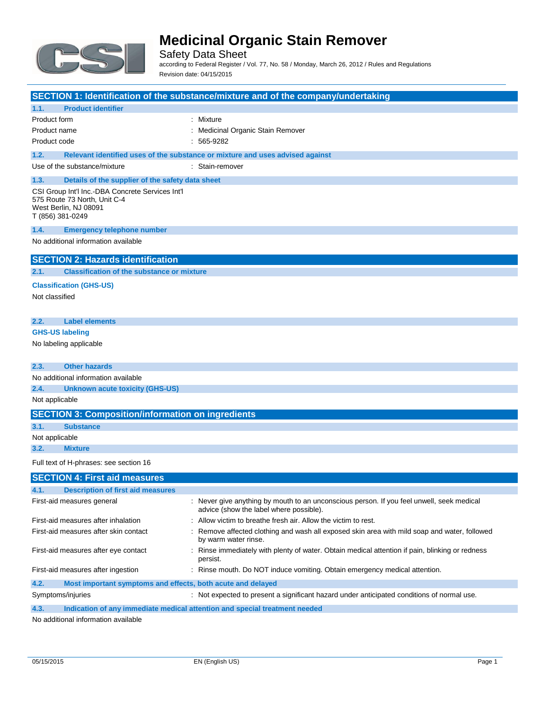

Safety Data Sheet according to Federal Register / Vol. 77, No. 58 / Monday, March 26, 2012 / Rules and Regulations Revision date: 04/15/2015

|                                                                                                                               | SECTION 1: Identification of the substance/mixture and of the company/undertaking                                                    |
|-------------------------------------------------------------------------------------------------------------------------------|--------------------------------------------------------------------------------------------------------------------------------------|
| <b>Product identifier</b><br>1.1.                                                                                             |                                                                                                                                      |
| Product form                                                                                                                  | : Mixture                                                                                                                            |
| Product name                                                                                                                  | : Medicinal Organic Stain Remover                                                                                                    |
| Product code                                                                                                                  | $: 565-9282$                                                                                                                         |
| 1.2.                                                                                                                          | Relevant identified uses of the substance or mixture and uses advised against                                                        |
| Use of the substance/mixture                                                                                                  | : Stain-remover                                                                                                                      |
| 1.3.<br>Details of the supplier of the safety data sheet                                                                      |                                                                                                                                      |
| CSI Group Int'l Inc.-DBA Concrete Services Int'l<br>575 Route 73 North, Unit C-4<br>West Berlin, NJ 08091<br>T (856) 381-0249 |                                                                                                                                      |
| 1.4.<br><b>Emergency telephone number</b>                                                                                     |                                                                                                                                      |
| No additional information available                                                                                           |                                                                                                                                      |
| <b>SECTION 2: Hazards identification</b>                                                                                      |                                                                                                                                      |
| <b>Classification of the substance or mixture</b><br>2.1.                                                                     |                                                                                                                                      |
| <b>Classification (GHS-US)</b>                                                                                                |                                                                                                                                      |
| Not classified                                                                                                                |                                                                                                                                      |
|                                                                                                                               |                                                                                                                                      |
| 2.2.<br><b>Label elements</b>                                                                                                 |                                                                                                                                      |
| <b>GHS-US labeling</b>                                                                                                        |                                                                                                                                      |
| No labeling applicable                                                                                                        |                                                                                                                                      |
|                                                                                                                               |                                                                                                                                      |
| <b>Other hazards</b><br>2.3.                                                                                                  |                                                                                                                                      |
| No additional information available                                                                                           |                                                                                                                                      |
| 2.4.<br><b>Unknown acute toxicity (GHS-US)</b>                                                                                |                                                                                                                                      |
| Not applicable                                                                                                                |                                                                                                                                      |
| <b>SECTION 3: Composition/information on ingredients</b>                                                                      |                                                                                                                                      |
| 3.1.<br><b>Substance</b>                                                                                                      |                                                                                                                                      |
| Not applicable                                                                                                                |                                                                                                                                      |
| 3.2.<br><b>Mixture</b>                                                                                                        |                                                                                                                                      |
| Full text of H-phrases: see section 16                                                                                        |                                                                                                                                      |
| <b>SECTION 4: First aid measures</b>                                                                                          |                                                                                                                                      |
| <b>Example 1 Description of first aid measures</b>                                                                            |                                                                                                                                      |
| First-aid measures general                                                                                                    | : Never give anything by mouth to an unconscious person. If you feel unwell, seek medical<br>advice (show the label where possible). |
| First-aid measures after inhalation                                                                                           | : Allow victim to breathe fresh air. Allow the victim to rest.                                                                       |
| First-aid measures after skin contact                                                                                         | Remove affected clothing and wash all exposed skin area with mild soap and water, followed<br>by warm water rinse.                   |
| First-aid measures after eye contact                                                                                          | Rinse immediately with plenty of water. Obtain medical attention if pain, blinking or redness<br>persist.                            |
| First-aid measures after ingestion                                                                                            | : Rinse mouth. Do NOT induce vomiting. Obtain emergency medical attention.                                                           |
| 4.2.<br>Most important symptoms and effects, both acute and delayed                                                           |                                                                                                                                      |
| Symptoms/injuries                                                                                                             | : Not expected to present a significant hazard under anticipated conditions of normal use.                                           |

**4.3. Indication of any immediate medical attention and special treatment needed**

No additional information available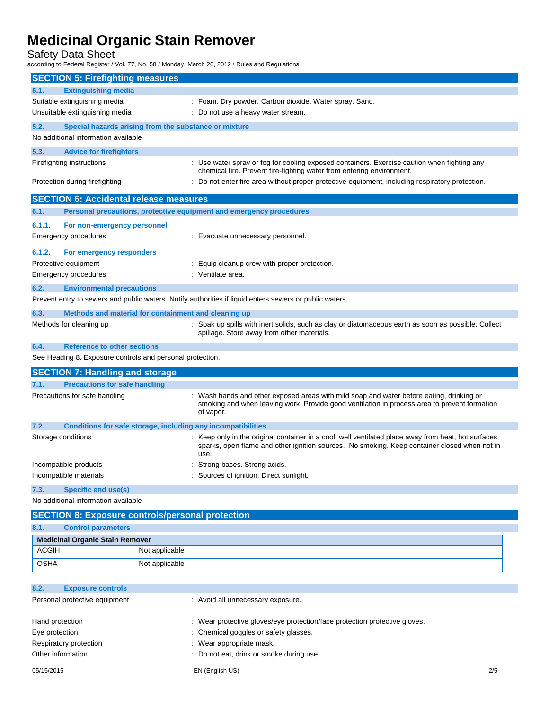Safety Data Sheet

according to Federal Register / Vol. 77, No. 58 / Monday, March 26, 2012 / Rules and Regulations

| <b>SECTION 5: Firefighting measures</b>                                                                                                                                                           |                |                                                                                                                                                                                                              |
|---------------------------------------------------------------------------------------------------------------------------------------------------------------------------------------------------|----------------|--------------------------------------------------------------------------------------------------------------------------------------------------------------------------------------------------------------|
| <b>Extinguishing media</b><br>5.1.                                                                                                                                                                |                |                                                                                                                                                                                                              |
| Suitable extinguishing media                                                                                                                                                                      |                | : Foam. Dry powder. Carbon dioxide. Water spray. Sand.                                                                                                                                                       |
| Unsuitable extinguishing media                                                                                                                                                                    |                | : Do not use a heavy water stream.                                                                                                                                                                           |
| 5.2.<br>Special hazards arising from the substance or mixture                                                                                                                                     |                |                                                                                                                                                                                                              |
| No additional information available                                                                                                                                                               |                |                                                                                                                                                                                                              |
| 5.3.<br><b>Advice for firefighters</b>                                                                                                                                                            |                |                                                                                                                                                                                                              |
| Firefighting instructions<br>: Use water spray or fog for cooling exposed containers. Exercise caution when fighting any<br>chemical fire. Prevent fire-fighting water from entering environment. |                |                                                                                                                                                                                                              |
| : Do not enter fire area without proper protective equipment, including respiratory protection.<br>Protection during firefighting                                                                 |                |                                                                                                                                                                                                              |
| <b>SECTION 6: Accidental release measures</b>                                                                                                                                                     |                |                                                                                                                                                                                                              |
| 6.1.                                                                                                                                                                                              |                | Personal precautions, protective equipment and emergency procedures                                                                                                                                          |
| 6.1.1.<br>For non-emergency personnel                                                                                                                                                             |                |                                                                                                                                                                                                              |
| Emergency procedures                                                                                                                                                                              |                | : Evacuate unnecessary personnel.                                                                                                                                                                            |
| 6.1.2.<br>For emergency responders                                                                                                                                                                |                |                                                                                                                                                                                                              |
| Protective equipment                                                                                                                                                                              |                | : Equip cleanup crew with proper protection.                                                                                                                                                                 |
| <b>Emergency procedures</b>                                                                                                                                                                       |                | : Ventilate area.                                                                                                                                                                                            |
| 6.2.<br><b>Environmental precautions</b>                                                                                                                                                          |                |                                                                                                                                                                                                              |
|                                                                                                                                                                                                   |                | Prevent entry to sewers and public waters. Notify authorities if liquid enters sewers or public waters.                                                                                                      |
| 6.3.<br>Methods and material for containment and cleaning up                                                                                                                                      |                |                                                                                                                                                                                                              |
| Methods for cleaning up                                                                                                                                                                           |                | : Soak up spills with inert solids, such as clay or diatomaceous earth as soon as possible. Collect<br>spillage. Store away from other materials.                                                            |
| <b>Reference to other sections</b><br>6.4.                                                                                                                                                        |                |                                                                                                                                                                                                              |
| See Heading 8. Exposure controls and personal protection.                                                                                                                                         |                |                                                                                                                                                                                                              |
| <b>SECTION 7: Handling and storage</b>                                                                                                                                                            |                |                                                                                                                                                                                                              |
| 7.1.<br><b>Precautions for safe handling</b>                                                                                                                                                      |                |                                                                                                                                                                                                              |
| Precautions for safe handling                                                                                                                                                                     |                | : Wash hands and other exposed areas with mild soap and water before eating, drinking or<br>smoking and when leaving work. Provide good ventilation in process area to prevent formation<br>of vapor.        |
| 7.2.<br><b>Conditions for safe storage, including any incompatibilities</b>                                                                                                                       |                |                                                                                                                                                                                                              |
| Storage conditions                                                                                                                                                                                |                | : Keep only in the original container in a cool, well ventilated place away from heat, hot surfaces,<br>sparks, open flame and other ignition sources. No smoking. Keep container closed when not in<br>use. |
| Incompatible products                                                                                                                                                                             |                | Strong bases. Strong acids.                                                                                                                                                                                  |
| Incompatible materials                                                                                                                                                                            |                | Sources of ignition. Direct sunlight.                                                                                                                                                                        |
| <b>Specific end use(s)</b><br>7.3.                                                                                                                                                                |                |                                                                                                                                                                                                              |
| No additional information available                                                                                                                                                               |                |                                                                                                                                                                                                              |
| <b>SECTION 8: Exposure controls/personal protection</b>                                                                                                                                           |                |                                                                                                                                                                                                              |
| <b>Control parameters</b><br>8.1.                                                                                                                                                                 |                |                                                                                                                                                                                                              |
| <b>Medicinal Organic Stain Remover</b>                                                                                                                                                            |                |                                                                                                                                                                                                              |
| <b>ACGIH</b>                                                                                                                                                                                      | Not applicable |                                                                                                                                                                                                              |
| <b>OSHA</b>                                                                                                                                                                                       | Not applicable |                                                                                                                                                                                                              |
| 8.2.<br><b>Exposure controls</b>                                                                                                                                                                  |                |                                                                                                                                                                                                              |
| Personal protective equipment                                                                                                                                                                     |                | : Avoid all unnecessary exposure.                                                                                                                                                                            |
|                                                                                                                                                                                                   |                |                                                                                                                                                                                                              |
| Hand protection                                                                                                                                                                                   |                | : Wear protective gloves/eye protection/face protection protective gloves.                                                                                                                                   |

| Hand protection        | : Wear protective gloves/eye protection/face protection protective gloves. |
|------------------------|----------------------------------------------------------------------------|
| Eye protection         | : Chemical goggles or safety glasses.                                      |
| Respiratory protection | $\therefore$ Wear appropriate mask.                                        |
| Other information      | : Do not eat, drink or smoke during use.                                   |
|                        |                                                                            |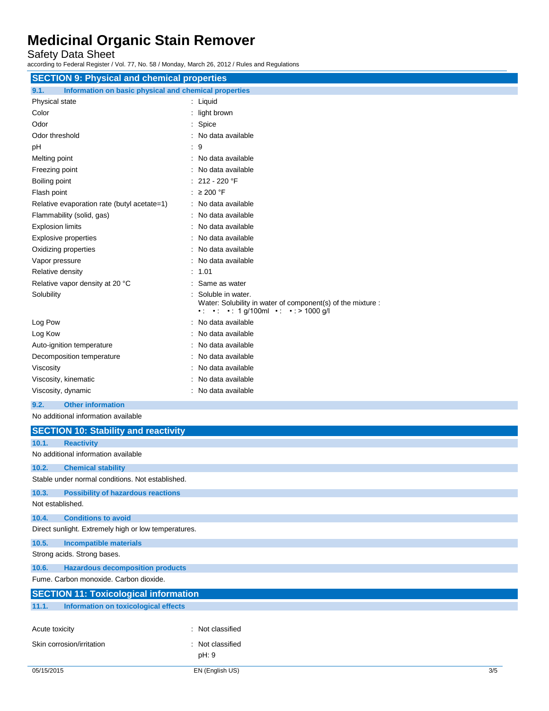Safety Data Sheet

according to Federal Register / Vol. 77, No. 58 / Monday, March 26, 2012 / Rules and Regulations

| <b>SECTION 9: Physical and chemical properties</b>            |                                                                                                                                                                  |  |
|---------------------------------------------------------------|------------------------------------------------------------------------------------------------------------------------------------------------------------------|--|
| 9.1.<br>Information on basic physical and chemical properties |                                                                                                                                                                  |  |
| Physical state                                                | : Liquid                                                                                                                                                         |  |
| Color                                                         | : light brown                                                                                                                                                    |  |
| Odor                                                          | Spice                                                                                                                                                            |  |
| Odor threshold                                                | No data available                                                                                                                                                |  |
|                                                               | : 9                                                                                                                                                              |  |
| pH                                                            |                                                                                                                                                                  |  |
| Melting point                                                 | No data available                                                                                                                                                |  |
| Freezing point                                                | No data available<br>212 - 220 °F                                                                                                                                |  |
| Boiling point                                                 |                                                                                                                                                                  |  |
| Flash point                                                   | : $\geq 200$ °F                                                                                                                                                  |  |
| Relative evaporation rate (butyl acetate=1)                   | : No data available                                                                                                                                              |  |
| Flammability (solid, gas)                                     | : No data available                                                                                                                                              |  |
| <b>Explosion limits</b>                                       | No data available                                                                                                                                                |  |
| <b>Explosive properties</b>                                   | No data available                                                                                                                                                |  |
| Oxidizing properties                                          | No data available                                                                                                                                                |  |
| Vapor pressure                                                | No data available                                                                                                                                                |  |
| Relative density                                              | : 1.01                                                                                                                                                           |  |
| Relative vapor density at 20 °C                               | Same as water                                                                                                                                                    |  |
| Solubility                                                    | Soluble in water.<br>Water: Solubility in water of component(s) of the mixture :<br>$\cdot$ $\cdot$ $\cdot$ $\cdot$ 1 g/100ml $\cdot$ $\cdot$ $\cdot$ > 1000 g/l |  |
| Log Pow                                                       | : No data available                                                                                                                                              |  |
| Log Kow                                                       | No data available                                                                                                                                                |  |
| Auto-ignition temperature                                     | No data available                                                                                                                                                |  |
| Decomposition temperature                                     | No data available                                                                                                                                                |  |
| Viscosity                                                     | No data available                                                                                                                                                |  |
| Viscosity, kinematic                                          | No data available                                                                                                                                                |  |
| Viscosity, dynamic                                            | : No data available                                                                                                                                              |  |
| <b>Other information</b><br>9.2.                              |                                                                                                                                                                  |  |
| No additional information available                           |                                                                                                                                                                  |  |
| <b>SECTION 10: Stability and reactivity</b>                   |                                                                                                                                                                  |  |
| 10.1.<br><b>Reactivity</b>                                    |                                                                                                                                                                  |  |
| No additional information available                           |                                                                                                                                                                  |  |
| 10.2.<br><b>Chemical stability</b>                            |                                                                                                                                                                  |  |
| Stable under normal conditions. Not established.              |                                                                                                                                                                  |  |
| 10.3.<br><b>Possibility of hazardous reactions</b>            |                                                                                                                                                                  |  |
| Not established.                                              |                                                                                                                                                                  |  |
| <b>Conditions to avoid</b><br>10.4.                           |                                                                                                                                                                  |  |
| Direct sunlight. Extremely high or low temperatures.          |                                                                                                                                                                  |  |
| 10.5.<br><b>Incompatible materials</b>                        |                                                                                                                                                                  |  |
| Strong acids. Strong bases.                                   |                                                                                                                                                                  |  |
| 10.6.<br><b>Hazardous decomposition products</b>              |                                                                                                                                                                  |  |
| Fume. Carbon monoxide. Carbon dioxide.                        |                                                                                                                                                                  |  |
| OF OTION AAS TANGALANG ALIME                                  |                                                                                                                                                                  |  |

| <b>SECTION 11: Toxicological information</b> |                                      |                  |
|----------------------------------------------|--------------------------------------|------------------|
| 11.1.                                        | Information on toxicological effects |                  |
|                                              |                                      |                  |
| Acute toxicity                               |                                      | : Not classified |
|                                              | Skin corrosion/irritation            | Not classified   |

pH: 9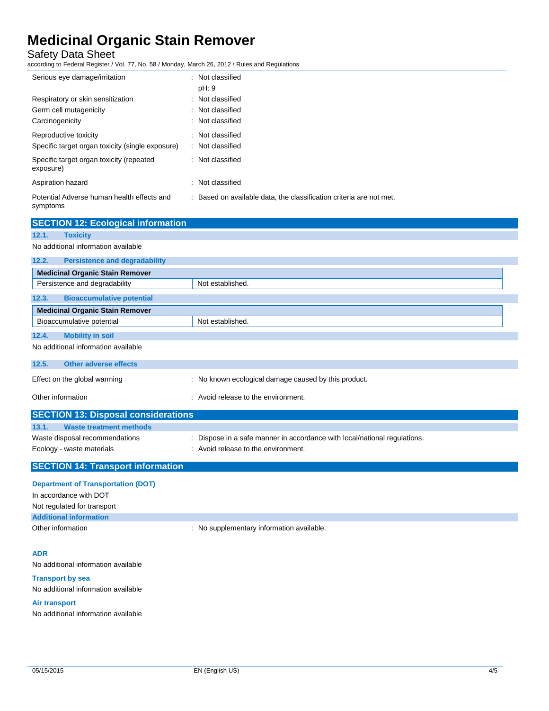Safety Data Sheet

according to Federal Register / Vol. 77, No. 58 / Monday, March 26, 2012 / Rules and Regulations

| Serious eye damage/irritation                          | : Not classified                                                    |
|--------------------------------------------------------|---------------------------------------------------------------------|
|                                                        | pH: 9                                                               |
| Respiratory or skin sensitization                      | : Not classified                                                    |
| Germ cell mutagenicity                                 | : Not classified                                                    |
| Carcinogenicity                                        | : Not classified                                                    |
| Reproductive toxicity                                  | : Not classified                                                    |
| Specific target organ toxicity (single exposure)       | : Not classified                                                    |
| Specific target organ toxicity (repeated<br>exposure)  | : Not classified                                                    |
| Aspiration hazard                                      | : Not classified                                                    |
| Potential Adverse human health effects and<br>symptoms | : Based on available data, the classification criteria are not met. |

| <b>SECTION 12: Ecological information</b>     |                                                                           |
|-----------------------------------------------|---------------------------------------------------------------------------|
| 12.1.<br><b>Toxicity</b>                      |                                                                           |
| No additional information available           |                                                                           |
| 12.2.<br><b>Persistence and degradability</b> |                                                                           |
| <b>Medicinal Organic Stain Remover</b>        |                                                                           |
| Persistence and degradability                 | Not established.                                                          |
| 12.3.<br><b>Bioaccumulative potential</b>     |                                                                           |
| <b>Medicinal Organic Stain Remover</b>        |                                                                           |
| Bioaccumulative potential                     | Not established.                                                          |
| <b>Mobility in soil</b><br>12.4.              |                                                                           |
| No additional information available           |                                                                           |
| 12.5.<br>Other adverse effects                |                                                                           |
| Effect on the global warming                  | : No known ecological damage caused by this product.                      |
| Other information                             | : Avoid release to the environment.                                       |
| <b>SECTION 13: Disposal considerations</b>    |                                                                           |
| <b>Waste treatment methods</b><br>13.1.       |                                                                           |
| Waste disposal recommendations                | : Dispose in a safe manner in accordance with local/national regulations. |
| Ecology - waste materials                     | : Avoid release to the environment.                                       |
| <b>SECTION 14: Transport information</b>      |                                                                           |

## **Department of Transportation (DOT)**

| In accordance with DOT        |                                           |
|-------------------------------|-------------------------------------------|
| Not regulated for transport   |                                           |
| <b>Additional information</b> |                                           |
| Other information             | : No supplementary information available. |

## **ADR**

No additional information available

## **Transport by sea**

No additional information available

## **Air transport**

No additional information available